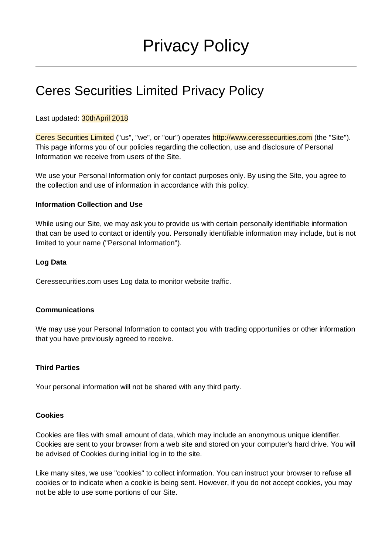# Ceres Securities Limited Privacy Policy

## Last updated: 30thApril 2018

Ceres Securities Limited ("us", "we", or "our") operates http://www.ceressecurities.com (the "Site"). This page informs you of our policies regarding the collection, use and disclosure of Personal Information we receive from users of the Site.

We use your Personal Information only for contact purposes only. By using the Site, you agree to the collection and use of information in accordance with this policy.

#### **Information Collection and Use**

While using our Site, we may ask you to provide us with certain personally identifiable information that can be used to contact or identify you. Personally identifiable information may include, but is not limited to your name ("Personal Information").

#### **Log Data**

Ceressecurities.com uses Log data to monitor website traffic.

#### **Communications**

We may use your Personal Information to contact you with trading opportunities or other information that you have previously agreed to receive.

#### **Third Parties**

Your personal information will not be shared with any third party.

#### **Cookies**

Cookies are files with small amount of data, which may include an anonymous unique identifier. Cookies are sent to your browser from a web site and stored on your computer's hard drive. You will be advised of Cookies during initial log in to the site.

Like many sites, we use "cookies" to collect information. You can instruct your browser to refuse all cookies or to indicate when a cookie is being sent. However, if you do not accept cookies, you may not be able to use some portions of our Site.